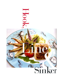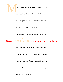

topping of crumbled potato chips don't die eas-

ily. But palates evolve. Dietary tides turn.

Seafood tops most daily-special lists at clubs

and restaurants across the country, thanks to

## Savory Seafood entrees reel in members

the triumvirate achievement of fisherman, fish-

mongers, and chefs extraordinaire. Superb

quality, fresh -not frozen- seafood is only a

phone call, e-mail, or fax transmission away.

But who you gonna call?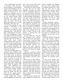Never underestimate the power of advertising. Mike McCarthy, general manager of Pottawattomie Country Club in Michigan City, IN, called seafood wholesaler Triar Seafood in Hollywood, FL, after reading the company's print ad. While golf and outdoor swimming are the greater-Chicago club's mainstays from April through Labor Day, fine dining is centerstage year round. "Our 30-day product trial turned into a six-year relationship," McCarthy said.

For the club manager or chef, building a relationship at the wholesale or purveyor level involves the same things any good relationship does - trust and reliability. Pottawhattomie Executive Chef Rick Brueggeman's weekly conversations with Triar's President Peter Jarvis are deceptively casual exchanges where the two talk over "what looks good," before Brueggeman places his order. By 2 p.m. the next day, Federal Express delivers a compartmentalized shipping container gel-packed with seafood so fresh it barely had time to dress for the airport.

McCarthy and Brueggeman collaborate on menu decisions, making weekly changes to the right side of the club's seven- to nine-item menu, which features three seafood entrees in season, two in the offseason. Tuna and swordfish sell best, hut the big crowd-pleaser inseason is the club's Friday Night Family Buffet. The appetizer table brims with specialties like Brueggeman 's hickory- and applewood-smoked scallops finished with a roasted tomato chutney, prawn-size shrimp, crab legs, and whole fish like snapper, grouper, and wahoo cut to order. Whole

lobster stuffed with seafood dressing highlights the menu at leas

once a year as part of the club's New England Seafood Dinners.

"Chefs today are artists, and like any artist, they love the artistic challenge of creating new menu items, of introducing members to new and exotic tastes," Jarvis said. He typically sends first-time clients a courtesy package with samples of every item in a day's catch to introduce Triar's "shore-to-door in 24" service. The former food and beverage manager and self-described fish monger has personally overseen every step, from the suppliers' boats to the plates set before discriminating diners. "We're only as good as the weakest link in the chain," he noted. "The key in this business is knowing how and knowing when."

Any chef worth his or her Old Bay Seasoning must combine seafood know-how with knowwhen, because a solid knowledge base in buying, preparing, or serving fresh seafood defines the crucial difference between rave reviews and tepid responses. Putting the best piece of fish on the plate is a team effort of the supplier and the

culinarian overseeing seafood handling and storage. "What makes fish taste good and last longer starts with handling on the boat." Jarvis said.

Boats must be clean, bacteriafree and maintain proper oxygen and temperature levels. Heat causes bacteria, so fish is buried in ice as soon as it's gutted. Knowing how to read visual clues is vital. "I want to the sure the fish is firm, the flesh is translucent, with bright skin, Jarvis explained. "The meat should be shiny, not dull, and the color should be illuminated."

From the moment a fish leave the water, regulations governing temperature, handling, and shipping are in force. Once-voluntary industry guidelines became law in 1998 when the Food and D Drug Administration enacted Hazard Analysis Critical Control Points, H.A.C.C.P., which set strict handling and record-keeping standards monitoring each step is seafood processing. "H.A.C.C.P. made good players even better," Jarvis said.

Properly maintained seafood well chilled, in airtight, leak-proof containers - has a shelf life of five to seven days once it reaches the club kitchen. The shipping secret to maintain optimal freshness: no dead air. "Packing (with an absence of oxygen) is as important as the fisherman and the chef," Jarvis explained.

Chef Robert Malone of Treesdale Golf and Country Club in Gibsonia, PA, takes the temperature of everything that comes in the door. "If it isn't right, it goes right back on the truck. Seafood should register 32 to 34 degrees," he explained. "Above 36 degrees, you lose quality" After inspecting and rinsing, seafood goes into a perforated pan with no water on the fish, then is covered and refrigerated. Malone prefers buying in small increments for maximum freshness.

As soon as his seafood order arrives, Chef Chris Desens, CEC, of the Racquet Club in Ladue, MO, makes sure it is repacked in ice, and kept cold, guaranteeing the best flavor, Educating his staff is an ongoing process. "I show my staff what the fish should book and smell like, how dishes are prepared and finished," Desens said. Besides his relationships with purveyors like Triar in Florida or Foley Fish in Boston, Desens believes a sec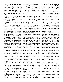ondary source locally is as important as his culinary expertise - especially when certain varieties become scarce. "I can call Bob's Seafood (in St. Louis at 8 a.m., and have delivery by 9:30 a.m. The same person cuts the fish every day, and (that person) knows what you like and how you like it," he added.

"Educating the house" is even more critical in rural areas, where fewer kitchen staff members are professionally trained. At KC's restaurant, two hours south of Memphis in Cleveland, MS, Executive Chef and co-owner Walls' Joe trains staff from the ground up. Drawing patrons to fresh-seafood appetizers and daily specials in a "meat-and-potatoes" town, Joe buys only several days' supply for optimum freshness. Preparations are simple, keeping flavors light and sauces clean: vinaigrettes, broths and reductions finish grilled or sautéed shrimp, scallops, crab, calamari, or lobster.

When he isn't in KC's kitchen, Joe's post as Executive Chef of the Viking Range Co., in Memphis, gives him ample opportunities to observe new directions in food in seminars at the Viking's Culinary Arts Center. "I see a trend to a lot of raw preparation in non-Asian places," he said. We have no prob1em selling raw preparations like sushi and sashimi because the dining public is well educated, they eat well, and they've been to sushi bars."

Once the fish that was swimming in the Atlantic yesterday afternoon has landed in the pan - possibly 2000 miles from the shoreline chefs eagerly seek new ways to garner gastronomic high-fives. To WalIv Joe, putting an inventive special like barely seared, sushi-grade tuna with yuzu (Japanese citrus

fruit) juice, honey and soy sauce, or offerings of fresh abalone and eel from New Jersey-purveyor Prawnco, illustrate the lack of price resistance club managers and chefs ace, despite seafood's increased cost.

Price is a factor more in terms of portion size than members' reluctance to paying for "top of the catch" seafood - plus freight - from purveyors like Triar or Joe's Stone Crab in Miami Beach, Fl "People are generally eating less, but ordering two, three, or four courses," Joe noted. "I can price accordingly 1w watching the portion size, without a small look to the plate." Another value-added technique pairs an entree with an accompaniment, like Chilean sea bass with rock-shrimp risotto.

Fame is another aspect overriding price opposition. James McClendon is president of Joe's Stone Crab, the sole supplier of stone crabs to the legendary Miami Beach restaurant of the same name. "Lots of people eat at Joe's when they re in Miami Beach," he said. "We take the typical Joe's meal, and ship 'the Joe's experience' to the club." McClendon says the popularity of club-sponsored "Joe's Nights" is so great, clubs often have seatings on two consecutive nights to accommodate demand, however pricey. The Penn Club in New York City and Philmont Country Club in Huntington Valley, PA, are veteran hosts of "Joes Nights."

Melanie Gaffin, director of catering at the Philmont Country Club, said that they hold "Joe's stone Crab" Nights on two consecutive nights (300 members each evening) in October, and two nights in April to accommodate the demand. Philmont has been hosting these dinners for years, and despite the cost to members, the turnout is exceptional every time. "We lose money, hut because we're a private club, we do it for our members," said Gaffin.

The authentic Joe's Stone Crab meal - complete with bib, Joe's special tangy cole slaw, cold stone crabs in mustard sauce, Manhattanstyle clam chowder, creamed spinach and famous Key Lime pie, and assorted trimmings - is icepacked and on its way by h p.m., for overnight delivery to the club kitchen between 10 am. and noon. 'We can have the executive chef at toes Stone Crab (restaurant) talk with the club chef, if desired." McClendon added.

Getting the best possible seafood may involve a plane ride, but "TreesdaIe Chef Robert Malone insists the heavy sauces stay home. "The main ingredient of what you cook should be what you taste first," he said. "The first bite should be what is featured, then the palate should dance by what is accentuating that first taste." Malone makes seasonal menu changes four times a year to meet the high expectations of the young club's 720 members, where the average age is between 35 and 45. Many members travel internationally, and bring back menus to share with their chef. Escolar and Chilean sea bass are fin-to-fin among "foodies" current favorites

Malone's "heart-healing" dinners use herbs and greens for flavor, rather than fat: Grilled tuna steak with a chipolte rub is finished with an orange/cilantro/pesto. His recipe for pan-seared, sesame-encrusted salmon in a soy/wasabi reduction sauce meets members' high expectations and their desire to stay above trends.

At the Racquet Club in Ladue,